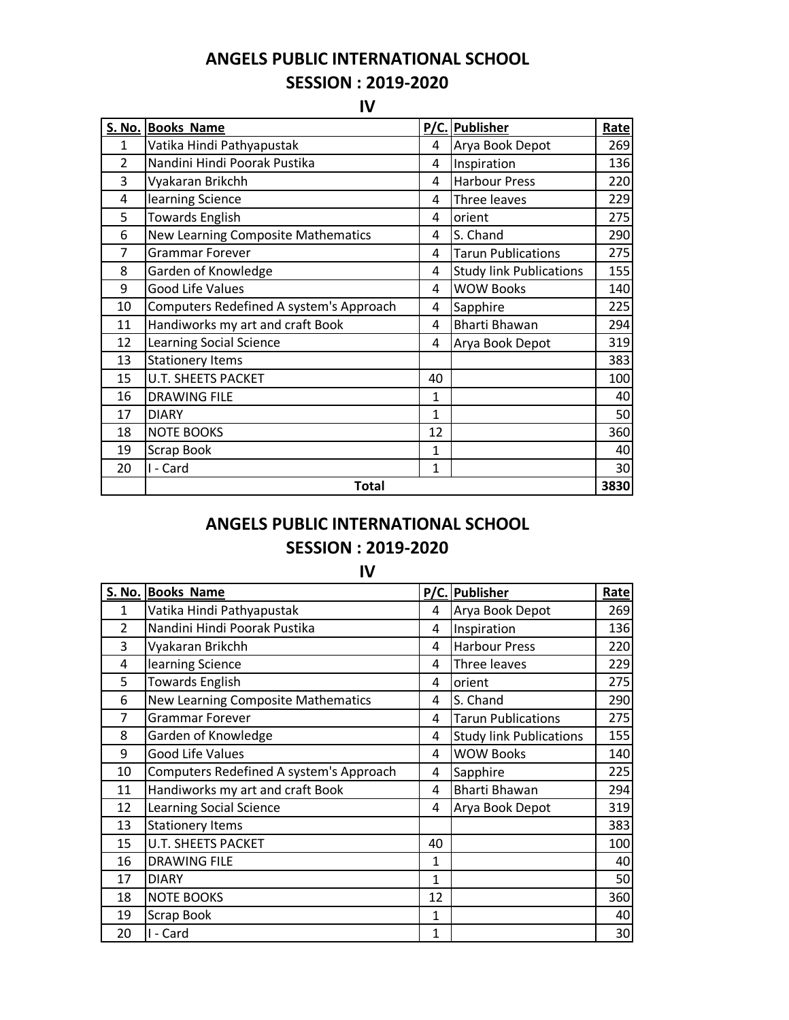**ANGELS PUBLIC INTERNATIONAL SCHOOL SESSION : 2019-2020**

**IV**

|                | S. No. Books Name                       |              | P/C. Publisher                 | Rate |
|----------------|-----------------------------------------|--------------|--------------------------------|------|
| $\mathbf{1}$   | Vatika Hindi Pathyapustak               | 4            | Arya Book Depot                | 269  |
| $\overline{2}$ | Nandini Hindi Poorak Pustika            | 4            | Inspiration                    | 136  |
| 3              | Vyakaran Brikchh                        | 4            | <b>Harbour Press</b>           | 220  |
| 4              | learning Science                        | 4            | Three leaves                   | 229  |
| 5              | <b>Towards English</b>                  | 4            | orient                         | 275  |
| 6              | New Learning Composite Mathematics      | 4            | S. Chand                       | 290  |
| $\overline{7}$ | <b>Grammar Forever</b>                  | 4            | <b>Tarun Publications</b>      | 275  |
| 8              | Garden of Knowledge                     | 4            | <b>Study link Publications</b> | 155  |
| 9              | <b>Good Life Values</b>                 | 4            | <b>WOW Books</b>               | 140  |
| 10             | Computers Redefined A system's Approach | 4            | Sapphire                       | 225  |
| 11             | Handiworks my art and craft Book        | 4            | Bharti Bhawan                  | 294  |
| 12             | Learning Social Science                 | 4            | Arya Book Depot                | 319  |
| 13             | <b>Stationery Items</b>                 |              |                                | 383  |
| 15             | <b>U.T. SHEETS PACKET</b>               | 40           |                                | 100  |
| 16             | <b>DRAWING FILE</b>                     | 1            |                                | 40   |
| 17             | <b>DIARY</b>                            | $\mathbf{1}$ |                                | 50   |
| 18             | <b>NOTE BOOKS</b>                       | 12           |                                | 360  |
| 19             | Scrap Book                              | 1            |                                | 40   |
| 20             | I - Card                                | 1            |                                | 30   |
|                | <b>Total</b>                            |              |                                |      |

## **ANGELS PUBLIC INTERNATIONAL SCHOOL**

## **SESSION : 2019-2020**

## **IV**

|                | S. No. Books Name                       |              | P/C. Publisher                 | Rate |
|----------------|-----------------------------------------|--------------|--------------------------------|------|
| 1              | Vatika Hindi Pathyapustak               | 4            | Arya Book Depot                | 269  |
| $\overline{2}$ | Nandini Hindi Poorak Pustika            | 4            | Inspiration                    | 136  |
| 3              | Vyakaran Brikchh                        | 4            | <b>Harbour Press</b>           | 220  |
| 4              | learning Science                        | 4            | Three leaves                   | 229  |
| 5              | <b>Towards English</b>                  | 4            | orient                         | 275  |
| 6              | New Learning Composite Mathematics      | 4            | S. Chand                       | 290  |
| 7              | <b>Grammar Forever</b>                  | 4            | <b>Tarun Publications</b>      | 275  |
| 8              | Garden of Knowledge                     | 4            | <b>Study link Publications</b> | 155  |
| 9              | Good Life Values                        | 4            | <b>WOW Books</b>               | 140  |
| 10             | Computers Redefined A system's Approach | 4            | Sapphire                       | 225  |
| 11             | Handiworks my art and craft Book        | 4            | <b>Bharti Bhawan</b>           | 294  |
| 12             | Learning Social Science                 | 4            | Arya Book Depot                | 319  |
| 13             | <b>Stationery Items</b>                 |              |                                | 383  |
| 15             | <b>U.T. SHEETS PACKET</b>               | 40           |                                | 100  |
| 16             | <b>DRAWING FILE</b>                     | 1            |                                | 40   |
| 17             | <b>DIARY</b>                            | 1            |                                | 50   |
| 18             | <b>NOTE BOOKS</b>                       | 12           |                                | 360  |
| 19             | Scrap Book                              | $\mathbf{1}$ |                                | 40   |
| 20             | I - Card                                | 1            |                                | 30   |